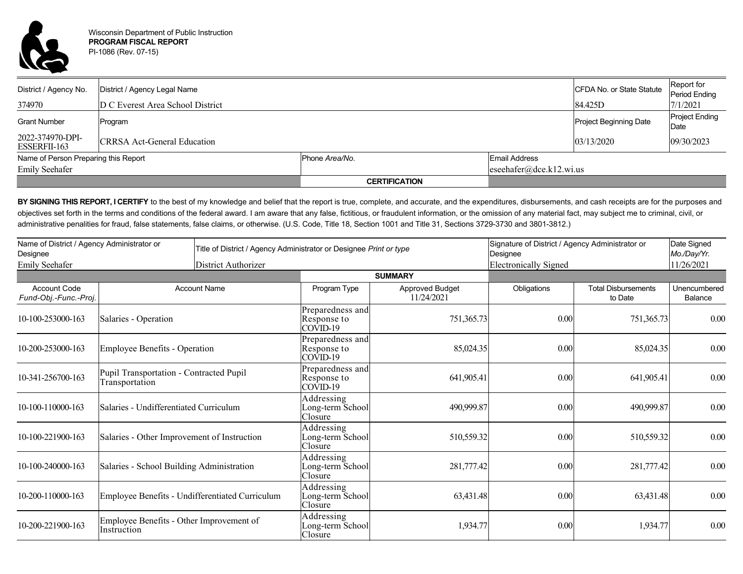

| District / Agency No.                | District / Agency Legal Name       |                      |                         | CFDA No. or State Statute | Report for<br><b>Period Ending</b> |  |
|--------------------------------------|------------------------------------|----------------------|-------------------------|---------------------------|------------------------------------|--|
| 374970                               | D C Everest Area School District   |                      |                         | 84.425D                   | 7/1/2021                           |  |
| <b>Grant Number</b>                  | Program                            |                      |                         | Project Beginning Date    | <b>Project Ending</b><br>Date      |  |
| 2022-374970-DPI-<br>ESSERFII-163     | <b>CRRSA Act-General Education</b> |                      |                         | 03/13/2020                | 09/30/2023                         |  |
| Name of Person Preparing this Report |                                    | Phone Area/No.       | <b>Email Address</b>    |                           |                                    |  |
| <b>Emily Seehafer</b>                |                                    |                      | eseehafer@dce.k12.wi.us |                           |                                    |  |
|                                      |                                    | <b>CERTIFICATION</b> |                         |                           |                                    |  |

BY SIGNING THIS REPORT, I CERTIFY to the best of my knowledge and belief that the report is true, complete, and accurate, and the expenditures, disbursements, and cash receipts are for the purposes and objectives set forth in the terms and conditions of the federal award. I am aware that any false, fictitious, or fraudulent information, or the omission of any material fact, may subject me to criminal, civil, or administrative penalities for fraud, false statements, false claims, or otherwise. (U.S. Code, Title 18, Section 1001 and Title 31, Sections 3729-3730 and 3801-3812.)

| Name of District / Agency Administrator or<br>Designee<br>Emily Seehafer |                                                           | Title of District / Agency Administrator or Designee Print or type<br>District Authorizer |                                             |                                      | Signature of District / Agency Administrator or<br>Designee<br><b>Electronically Signed</b> |                                       | Date Signed<br>Mo./Day/Yr.<br>11/26/2021 |
|--------------------------------------------------------------------------|-----------------------------------------------------------|-------------------------------------------------------------------------------------------|---------------------------------------------|--------------------------------------|---------------------------------------------------------------------------------------------|---------------------------------------|------------------------------------------|
|                                                                          |                                                           |                                                                                           |                                             | <b>SUMMARY</b>                       |                                                                                             |                                       |                                          |
| <b>Account Code</b><br>Fund-Obj.-Func.-Proj.                             |                                                           | <b>Account Name</b>                                                                       | Program Type                                | <b>Approved Budget</b><br>11/24/2021 | Obligations                                                                                 | <b>Total Disbursements</b><br>to Date | Unencumbered<br>Balance                  |
| 10-100-253000-163                                                        | Salaries - Operation                                      |                                                                                           | Preparedness and<br>Response to<br>COVID-19 | 751,365.73                           | 0.00                                                                                        | 751,365.73                            | $0.00\,$                                 |
| 10-200-253000-163                                                        | <b>Employee Benefits - Operation</b>                      |                                                                                           | Preparedness and<br>Response to<br>COVID-19 | 85,024.35                            | 0.00                                                                                        | 85,024.35                             | 0.00                                     |
| 10-341-256700-163                                                        | Pupil Transportation - Contracted Pupil<br>Transportation |                                                                                           | Preparedness and<br>Response to<br>COVID-19 | 641,905.41                           | 0.00                                                                                        | 641,905.41                            | 0.00                                     |
| 10-100-110000-163                                                        | Salaries - Undifferentiated Curriculum                    |                                                                                           | Addressing<br>Long-term School<br>Closure   | 490,999.87                           | 0.00                                                                                        | 490,999.87                            | $0.00\,$                                 |
| 10-100-221900-163                                                        | Salaries - Other Improvement of Instruction               |                                                                                           | Addressing<br>Long-term School<br>Closure   | 510,559.32                           | 0.00                                                                                        | 510,559.32                            | 0.00                                     |
| 10-100-240000-163                                                        | Salaries - School Building Administration                 |                                                                                           | Addressing<br>Long-term School<br>Closure   | 281,777.42                           | 0.00                                                                                        | 281,777.42                            | $0.00\,$                                 |
| 10-200-110000-163                                                        | Employee Benefits - Undifferentiated Curriculum           |                                                                                           | Addressing<br>Long-term School<br>Closure   | 63,431.48                            | 0.00                                                                                        | 63,431.48                             | 0.00                                     |
| 10-200-221900-163                                                        | Employee Benefits - Other Improvement of<br>Instruction   |                                                                                           | Addressing<br>Long-term School<br>Closure   | 1,934.77                             | 0.00                                                                                        | 1,934.77                              | 0.00                                     |